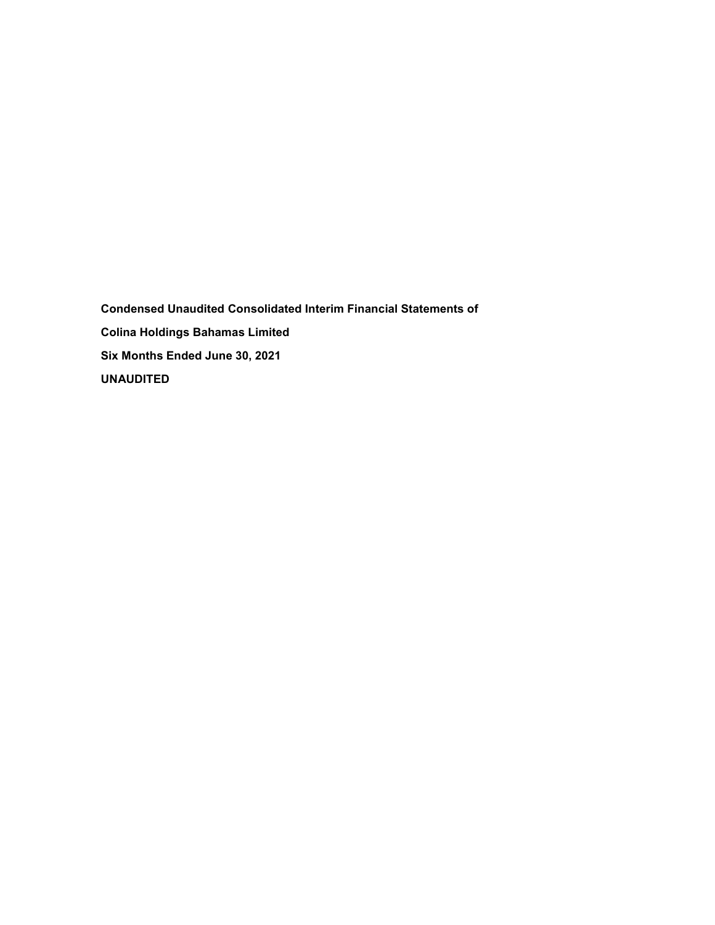**Condensed Unaudited Consolidated Interim Financial Statements of Colina Holdings Bahamas Limited Six Months Ended June 30, 2021 UNAUDITED**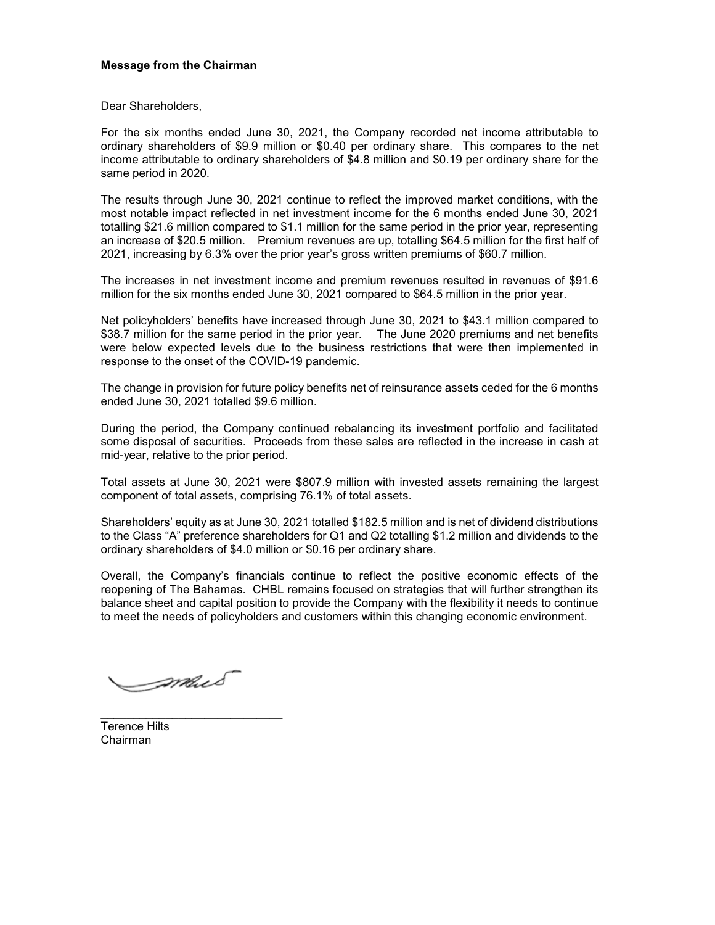## **Message from the Chairman**

Dear Shareholders,

For the six months ended June 30, 2021, the Company recorded net income attributable to ordinary shareholders of \$9.9 million or \$0.40 per ordinary share. This compares to the net income attributable to ordinary shareholders of \$4.8 million and \$0.19 per ordinary share for the same period in 2020.

The results through June 30, 2021 continue to reflect the improved market conditions, with the most notable impact reflected in net investment income for the 6 months ended June 30, 2021 totalling \$21.6 million compared to \$1.1 million for the same period in the prior year, representing an increase of \$20.5 million. Premium revenues are up, totalling \$64.5 million for the first half of 2021, increasing by 6.3% over the prior year's gross written premiums of \$60.7 million.

The increases in net investment income and premium revenues resulted in revenues of \$91.6 million for the six months ended June 30, 2021 compared to \$64.5 million in the prior year.

Net policyholders' benefits have increased through June 30, 2021 to \$43.1 million compared to \$38.7 million for the same period in the prior year. The June 2020 premiums and net benefits were below expected levels due to the business restrictions that were then implemented in response to the onset of the COVID-19 pandemic.

The change in provision for future policy benefits net of reinsurance assets ceded for the 6 months ended June 30, 2021 totalled \$9.6 million.

During the period, the Company continued rebalancing its investment portfolio and facilitated some disposal of securities. Proceeds from these sales are reflected in the increase in cash at mid-year, relative to the prior period.

Total assets at June 30, 2021 were \$807.9 million with invested assets remaining the largest component of total assets, comprising 76.1% of total assets.

Shareholders' equity as at June 30, 2021 totalled \$182.5 million and is net of dividend distributions to the Class "A" preference shareholders for Q1 and Q2 totalling \$1.2 million and dividends to the ordinary shareholders of \$4.0 million or \$0.16 per ordinary share.

Overall, the Company's financials continue to reflect the positive economic effects of the reopening of The Bahamas. CHBL remains focused on strategies that will further strengthen its balance sheet and capital position to provide the Company with the flexibility it needs to continue to meet the needs of policyholders and customers within this changing economic environment.

Imais

\_\_\_\_\_\_\_\_\_\_\_\_\_\_\_\_\_\_\_\_\_\_\_\_\_\_\_\_

Terence Hilts Chairman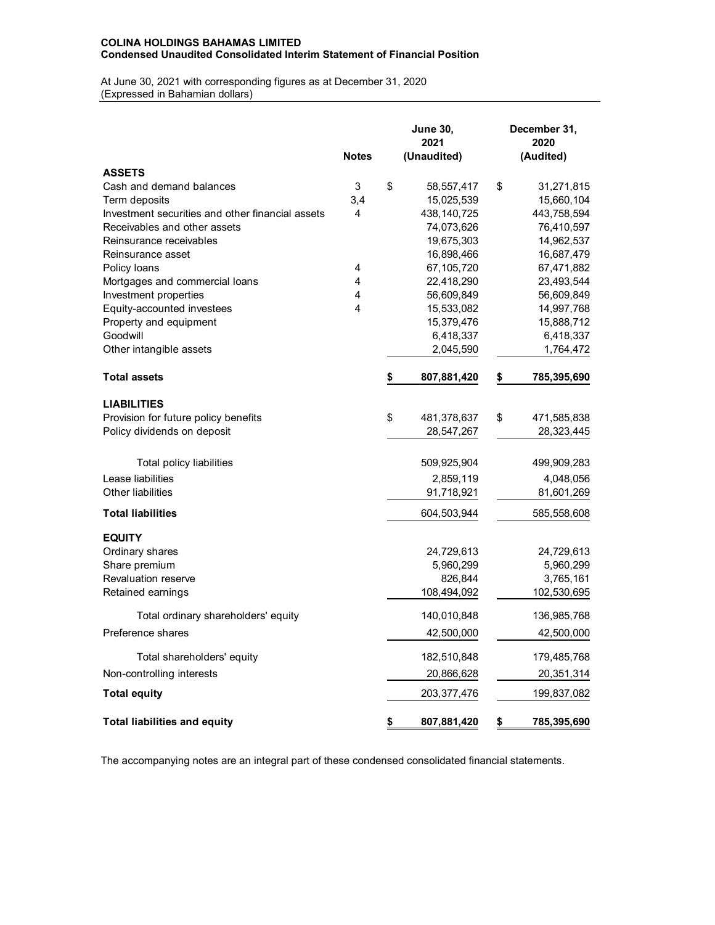## **COLINA HOLDINGS BAHAMAS LIMITED Condensed Unaudited Consolidated Interim Statement of Financial Position**

At June 30, 2021 with corresponding figures as at December 31, 2020 (Expressed in Bahamian dollars)

|                                                  | <b>Notes</b>   | <b>June 30,</b><br>2021<br>(Unaudited) | December 31,<br>2020<br>(Audited) |
|--------------------------------------------------|----------------|----------------------------------------|-----------------------------------|
| <b>ASSETS</b>                                    |                |                                        |                                   |
| Cash and demand balances                         | 3              | \$<br>58,557,417                       | \$<br>31,271,815                  |
| Term deposits                                    | 3,4            | 15,025,539                             | 15,660,104                        |
| Investment securities and other financial assets | 4              | 438, 140, 725                          | 443,758,594                       |
| Receivables and other assets                     |                | 74,073,626                             | 76,410,597                        |
| Reinsurance receivables                          |                | 19,675,303                             | 14,962,537                        |
| Reinsurance asset                                |                | 16,898,466                             | 16,687,479                        |
| Policy loans                                     | 4              | 67,105,720                             | 67,471,882                        |
| Mortgages and commercial loans                   | 4              | 22,418,290                             | 23,493,544                        |
| Investment properties                            | 4              | 56,609,849                             | 56,609,849                        |
| Equity-accounted investees                       | $\overline{4}$ | 15,533,082                             | 14,997,768                        |
| Property and equipment                           |                | 15,379,476                             | 15,888,712                        |
| Goodwill                                         |                | 6,418,337                              | 6,418,337                         |
| Other intangible assets                          |                | 2,045,590                              | 1,764,472                         |
| <b>Total assets</b>                              |                | \$<br>807,881,420                      | \$<br>785,395,690                 |
| <b>LIABILITIES</b>                               |                |                                        |                                   |
| Provision for future policy benefits             |                | \$<br>481,378,637                      | \$<br>471,585,838                 |
| Policy dividends on deposit                      |                | 28,547,267                             | 28,323,445                        |
| Total policy liabilities                         |                | 509,925,904                            | 499,909,283                       |
| Lease liabilities                                |                | 2,859,119                              | 4,048,056                         |
| Other liabilities                                |                | 91,718,921                             |                                   |
|                                                  |                |                                        | 81,601,269                        |
| <b>Total liabilities</b>                         |                | 604,503,944                            | 585,558,608                       |
| <b>EQUITY</b>                                    |                |                                        |                                   |
| Ordinary shares                                  |                | 24,729,613                             | 24,729,613                        |
| Share premium                                    |                | 5,960,299                              | 5,960,299                         |
| <b>Revaluation reserve</b>                       |                | 826,844                                | 3,765,161                         |
| Retained earnings                                |                | 108,494,092                            | 102,530,695                       |
| Total ordinary shareholders' equity              |                | 140,010,848                            | 136,985,768                       |
| Preference shares                                |                | 42,500,000                             | 42,500,000                        |
| Total shareholders' equity                       |                | 182,510,848                            | 179,485,768                       |
| Non-controlling interests                        |                | 20,866,628                             | 20,351,314                        |
| <b>Total equity</b>                              |                | 203, 377, 476                          | 199,837,082                       |
| <b>Total liabilities and equity</b>              |                | \$<br>807,881,420                      | \$<br>785,395,690                 |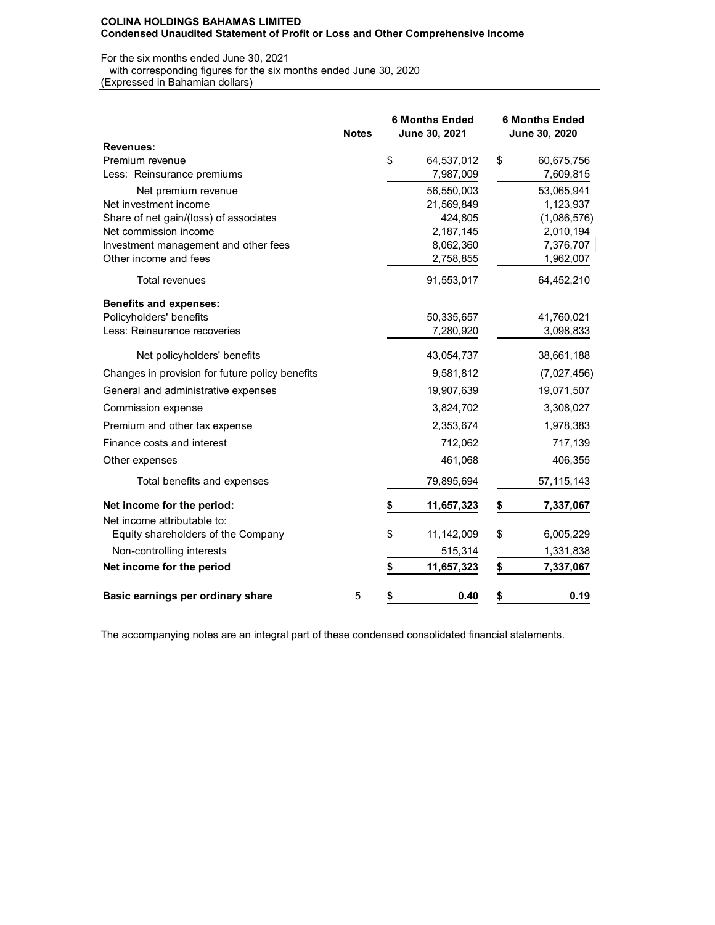## For the six months ended June 30, 2021

with corresponding figures for the six months ended June 30, 2020

(Expressed in Bahamian dollars)

|                                                 | <b>Notes</b> | <b>6 Months Ended</b><br>June 30, 2021 |            | <b>6 Months Ended</b><br>June 30, 2020 |              |
|-------------------------------------------------|--------------|----------------------------------------|------------|----------------------------------------|--------------|
| <b>Revenues:</b>                                |              |                                        |            |                                        |              |
| Premium revenue                                 |              | \$                                     | 64,537,012 | \$                                     | 60,675,756   |
| Less: Reinsurance premiums                      |              |                                        | 7,987,009  |                                        | 7,609,815    |
| Net premium revenue                             |              |                                        | 56,550,003 |                                        | 53,065,941   |
| Net investment income                           |              |                                        | 21,569,849 |                                        | 1,123,937    |
| Share of net gain/(loss) of associates          |              |                                        | 424,805    |                                        | (1,086,576)  |
| Net commission income                           |              |                                        | 2,187,145  |                                        | 2,010,194    |
| Investment management and other fees            |              |                                        | 8,062,360  |                                        | 7,376,707    |
| Other income and fees                           |              |                                        | 2,758,855  |                                        | 1,962,007    |
| <b>Total revenues</b>                           |              |                                        | 91,553,017 |                                        | 64,452,210   |
| <b>Benefits and expenses:</b>                   |              |                                        |            |                                        |              |
| Policyholders' benefits                         |              |                                        | 50,335,657 |                                        | 41,760,021   |
| Less: Reinsurance recoveries                    |              |                                        | 7,280,920  |                                        | 3,098,833    |
| Net policyholders' benefits                     |              |                                        | 43,054,737 |                                        | 38,661,188   |
| Changes in provision for future policy benefits |              |                                        | 9,581,812  |                                        | (7,027,456)  |
| General and administrative expenses             |              |                                        | 19,907,639 |                                        | 19,071,507   |
| Commission expense                              |              |                                        | 3,824,702  |                                        | 3,308,027    |
| Premium and other tax expense                   |              |                                        | 2,353,674  |                                        | 1,978,383    |
| Finance costs and interest                      |              |                                        | 712,062    |                                        | 717,139      |
| Other expenses                                  |              |                                        | 461,068    |                                        | 406,355      |
| Total benefits and expenses                     |              |                                        | 79,895,694 |                                        | 57, 115, 143 |
| Net income for the period:                      |              |                                        | 11,657,323 | \$                                     | 7,337,067    |
| Net income attributable to:                     |              |                                        |            |                                        |              |
| Equity shareholders of the Company              |              | \$                                     | 11,142,009 | \$                                     | 6,005,229    |
| Non-controlling interests                       |              |                                        | 515,314    |                                        | 1,331,838    |
| Net income for the period                       |              | \$                                     | 11,657,323 | \$                                     | 7,337,067    |
| Basic earnings per ordinary share               | 5            | \$                                     | 0.40       | \$                                     | 0.19         |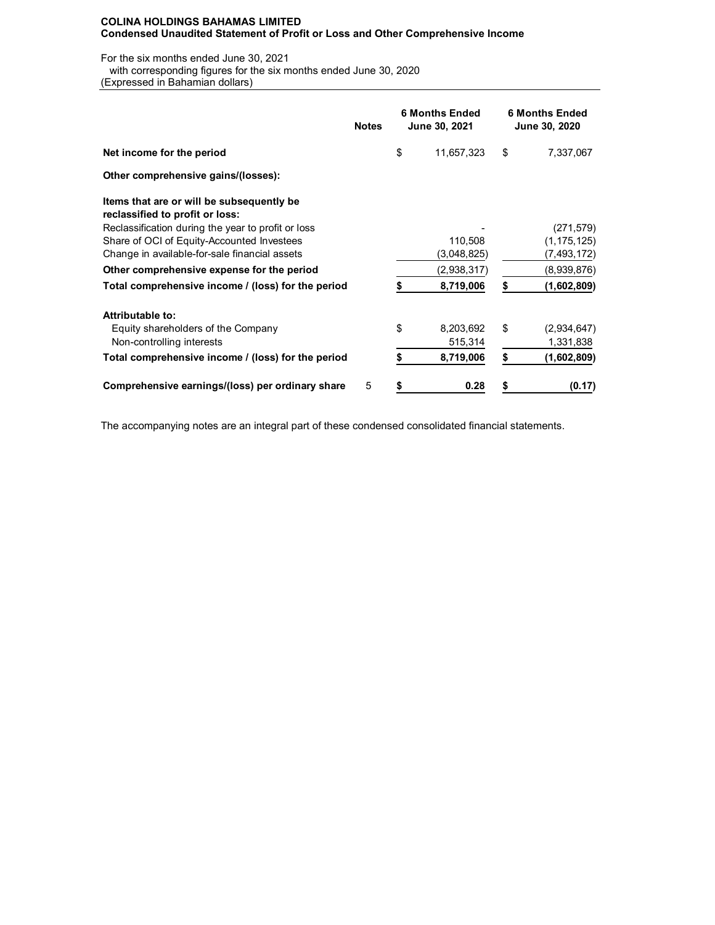For the six months ended June 30, 2021

with corresponding figures for the six months ended June 30, 2020

(Expressed in Bahamian dollars)

|                                                                              | <b>Notes</b> | <b>6 Months Ended</b><br>June 30, 2021 | <b>6 Months Ended</b><br>June 30, 2020 |               |  |
|------------------------------------------------------------------------------|--------------|----------------------------------------|----------------------------------------|---------------|--|
| Net income for the period                                                    |              | \$<br>11,657,323                       | \$                                     | 7,337,067     |  |
| Other comprehensive gains/(losses):                                          |              |                                        |                                        |               |  |
| Items that are or will be subsequently be<br>reclassified to profit or loss: |              |                                        |                                        |               |  |
| Reclassification during the year to profit or loss                           |              |                                        |                                        | (271, 579)    |  |
| Share of OCI of Equity-Accounted Investees                                   |              | 110,508                                |                                        | (1, 175, 125) |  |
| Change in available-for-sale financial assets                                |              | (3,048,825)                            |                                        | (7, 493, 172) |  |
| Other comprehensive expense for the period                                   |              | (2,938,317)                            |                                        | (8,939,876)   |  |
| Total comprehensive income / (loss) for the period                           |              | 8,719,006                              | S                                      | (1,602,809)   |  |
| Attributable to:                                                             |              |                                        |                                        |               |  |
| Equity shareholders of the Company                                           |              | \$<br>8,203,692                        | \$                                     | (2,934,647)   |  |
| Non-controlling interests                                                    |              | 515,314                                |                                        | 1,331,838     |  |
| Total comprehensive income / (loss) for the period                           |              | 8,719,006                              | \$                                     | (1,602,809)   |  |
| Comprehensive earnings/(loss) per ordinary share                             | 5            | \$<br>0.28                             |                                        | (0.17)        |  |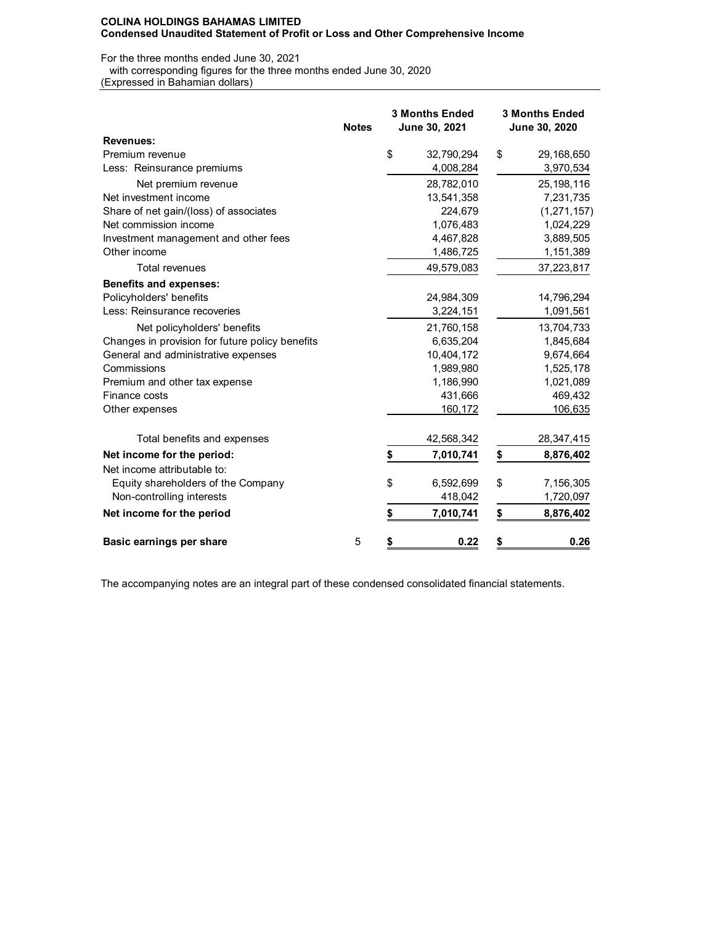### For the three months ended June 30, 2021

with corresponding figures for the three months ended June 30, 2020

(Expressed in Bahamian dollars)

|                                                 | <b>Notes</b> | <b>3 Months Ended</b><br>June 30, 2021 | <b>3 Months Ended</b><br>June 30, 2020 |
|-------------------------------------------------|--------------|----------------------------------------|----------------------------------------|
| <b>Revenues:</b>                                |              |                                        |                                        |
| Premium revenue                                 |              | \$<br>32,790,294                       | \$<br>29,168,650                       |
| Less: Reinsurance premiums                      |              | 4,008,284                              | 3,970,534                              |
| Net premium revenue                             |              | 28,782,010                             | 25,198,116                             |
| Net investment income                           |              | 13,541,358                             | 7,231,735                              |
| Share of net gain/(loss) of associates          |              | 224,679                                | (1, 271, 157)                          |
| Net commission income                           |              | 1,076,483                              | 1,024,229                              |
| Investment management and other fees            |              | 4,467,828                              | 3,889,505                              |
| Other income                                    |              | 1,486,725                              | 1,151,389                              |
| Total revenues                                  |              | 49,579,083                             | 37,223,817                             |
| <b>Benefits and expenses:</b>                   |              |                                        |                                        |
| Policyholders' benefits                         |              | 24,984,309                             | 14,796,294                             |
| Less: Reinsurance recoveries                    |              | 3,224,151                              | 1,091,561                              |
| Net policyholders' benefits                     |              | 21,760,158                             | 13,704,733                             |
| Changes in provision for future policy benefits |              | 6,635,204                              | 1,845,684                              |
| General and administrative expenses             |              | 10,404,172                             | 9,674,664                              |
| Commissions                                     |              | 1,989,980                              | 1,525,178                              |
| Premium and other tax expense                   |              | 1,186,990                              | 1,021,089                              |
| Finance costs                                   |              | 431,666                                | 469,432                                |
| Other expenses                                  |              | 160,172                                | 106,635                                |
| Total benefits and expenses                     |              | 42,568,342                             | 28,347,415                             |
| Net income for the period:                      |              | \$<br>7,010,741                        | \$<br>8,876,402                        |
| Net income attributable to:                     |              |                                        |                                        |
| Equity shareholders of the Company              |              | \$<br>6,592,699                        | \$<br>7,156,305                        |
| Non-controlling interests                       |              | 418,042                                | 1,720,097                              |
| Net income for the period                       |              | \$<br>7,010,741                        | \$<br>8,876,402                        |
| Basic earnings per share                        | 5            | \$<br>0.22                             | \$<br>0.26                             |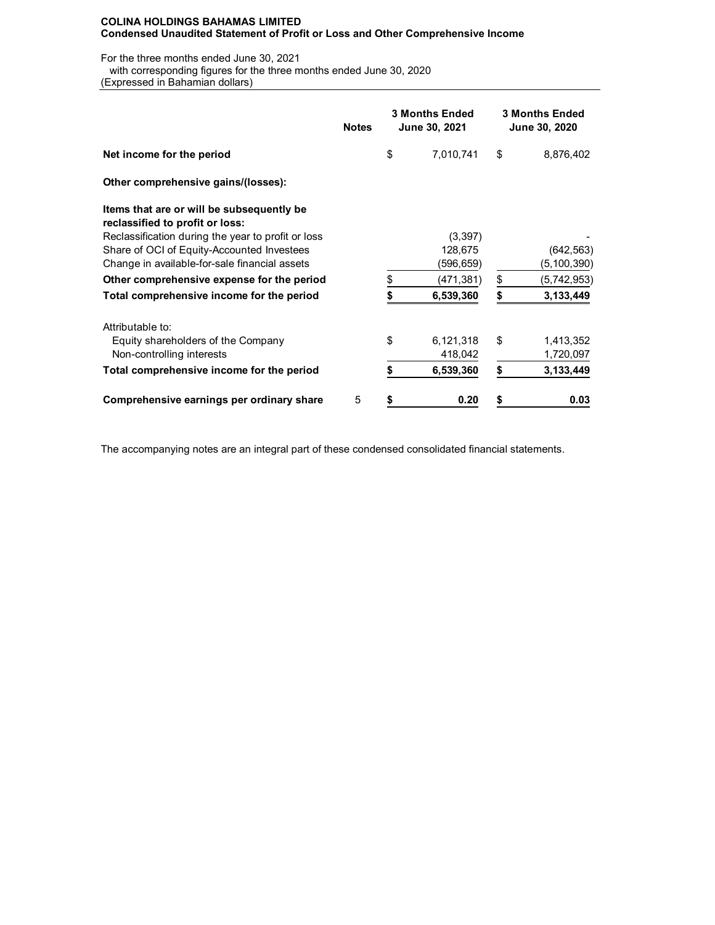For the three months ended June 30, 2021

with corresponding figures for the three months ended June 30, 2020

(Expressed in Bahamian dollars)

|                                                                              | <b>Notes</b> | <b>3 Months Ended</b><br>June 30, 2021 | <b>3 Months Ended</b><br>June 30, 2020 |               |  |
|------------------------------------------------------------------------------|--------------|----------------------------------------|----------------------------------------|---------------|--|
| Net income for the period                                                    |              | \$<br>7,010,741                        | \$                                     | 8,876,402     |  |
| Other comprehensive gains/(losses):                                          |              |                                        |                                        |               |  |
| Items that are or will be subsequently be<br>reclassified to profit or loss: |              |                                        |                                        |               |  |
| Reclassification during the year to profit or loss                           |              | (3,397)                                |                                        |               |  |
| Share of OCI of Equity-Accounted Investees                                   |              | 128,675                                |                                        | (642,563)     |  |
| Change in available-for-sale financial assets                                |              | (596,659)                              |                                        | (5, 100, 390) |  |
| Other comprehensive expense for the period                                   |              | \$<br>(471,381)                        | \$                                     | (5,742,953)   |  |
| Total comprehensive income for the period                                    |              | 6,539,360                              | S                                      | 3,133,449     |  |
| Attributable to:                                                             |              |                                        |                                        |               |  |
| Equity shareholders of the Company                                           |              | \$<br>6,121,318                        | \$                                     | 1,413,352     |  |
| Non-controlling interests                                                    |              | 418,042                                |                                        | 1,720,097     |  |
| Total comprehensive income for the period                                    |              | \$<br>6,539,360                        | \$                                     | 3,133,449     |  |
| Comprehensive earnings per ordinary share                                    | 5            | 0.20                                   |                                        | 0.03          |  |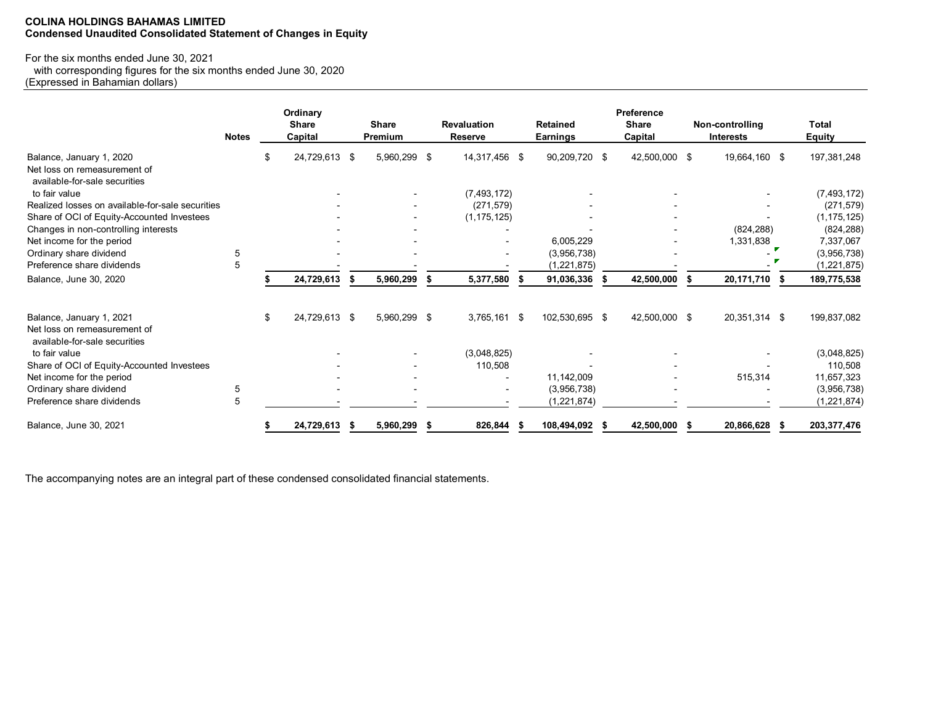## **COLINA HOLDINGS BAHAMAS LIMITED Condensed Unaudited Consolidated Statement of Changes in Equity**

# For the six months ended June 30, 2021

 with corresponding figures for the six months ended June 30, 2020 (Expressed in Bahamian dollars)

|                                                               | <b>Notes</b> |    | Ordinary<br><b>Share</b><br>Capital |     | <b>Share</b><br>Premium |      | <b>Revaluation</b><br><b>Reserve</b> |      | <b>Retained</b><br>Earnings |      | <b>Preference</b><br><b>Share</b><br>Capital |      | Non-controlling<br><b>Interests</b> | <b>Total</b><br>Equity |
|---------------------------------------------------------------|--------------|----|-------------------------------------|-----|-------------------------|------|--------------------------------------|------|-----------------------------|------|----------------------------------------------|------|-------------------------------------|------------------------|
| Balance, January 1, 2020                                      |              | S  | 24,729,613 \$                       |     | 5,960,299               | -\$  | 14,317,456 \$                        |      | 90,209,720 \$               |      | 42,500,000 \$                                |      | 19,664,160 \$                       | 197,381,248            |
| Net loss on remeasurement of<br>available-for-sale securities |              |    |                                     |     |                         |      |                                      |      |                             |      |                                              |      |                                     |                        |
| to fair value                                                 |              |    |                                     |     |                         |      | (7, 493, 172)                        |      |                             |      |                                              |      |                                     | (7, 493, 172)          |
| Realized losses on available-for-sale securities              |              |    |                                     |     |                         |      | (271, 579)                           |      |                             |      |                                              |      |                                     | (271, 579)             |
| Share of OCI of Equity-Accounted Investees                    |              |    |                                     |     |                         |      | (1, 175, 125)                        |      |                             |      |                                              |      |                                     | (1, 175, 125)          |
| Changes in non-controlling interests                          |              |    |                                     |     |                         |      |                                      |      |                             |      |                                              |      | (824, 288)                          | (824, 288)             |
| Net income for the period                                     |              |    |                                     |     |                         |      |                                      |      | 6,005,229                   |      |                                              |      | 1,331,838                           | 7,337,067              |
| Ordinary share dividend                                       | 5            |    |                                     |     |                         |      |                                      |      | (3,956,738)                 |      |                                              |      |                                     | (3,956,738)            |
| Preference share dividends                                    | 5            |    |                                     |     |                         |      |                                      |      | (1,221,875)                 |      |                                              |      |                                     | (1, 221, 875)          |
| Balance, June 30, 2020                                        |              |    | 24,729,613                          | \$  | 5,960,299               | \$   | 5,377,580                            | - 5  | 91,036,336                  | - \$ | 42,500,000                                   | Ŝ.   | 20,171,710<br>-S                    | 189,775,538            |
|                                                               |              |    |                                     |     |                         |      |                                      |      |                             |      |                                              |      |                                     |                        |
| Balance, January 1, 2021<br>Net loss on remeasurement of      |              | \$ | 24,729,613 \$                       |     | 5,960,299 \$            |      | 3,765,161 \$                         |      | 102,530,695 \$              |      | 42,500,000 \$                                |      | 20,351,314 \$                       | 199,837,082            |
| available-for-sale securities                                 |              |    |                                     |     |                         |      |                                      |      |                             |      |                                              |      |                                     |                        |
| to fair value                                                 |              |    |                                     |     |                         |      | (3,048,825)                          |      |                             |      |                                              |      |                                     | (3,048,825)            |
| Share of OCI of Equity-Accounted Investees                    |              |    |                                     |     |                         |      | 110,508                              |      |                             |      |                                              |      |                                     | 110,508                |
| Net income for the period                                     |              |    |                                     |     |                         |      |                                      |      | 11,142,009                  |      |                                              |      | 515,314                             | 11,657,323             |
| Ordinary share dividend                                       | 5            |    |                                     |     |                         |      |                                      |      | (3,956,738)                 |      |                                              |      |                                     | (3,956,738)            |
| Preference share dividends                                    | 5            |    |                                     |     |                         |      |                                      |      | (1,221,874)                 |      |                                              |      |                                     | (1, 221, 874)          |
| Balance, June 30, 2021                                        |              |    | 24,729,613                          | -\$ | 5,960,299               | - \$ | 826,844                              | - 56 | 108,494,092                 | - \$ | 42,500,000                                   | - \$ | 20,866,628<br>- \$                  | 203, 377, 476          |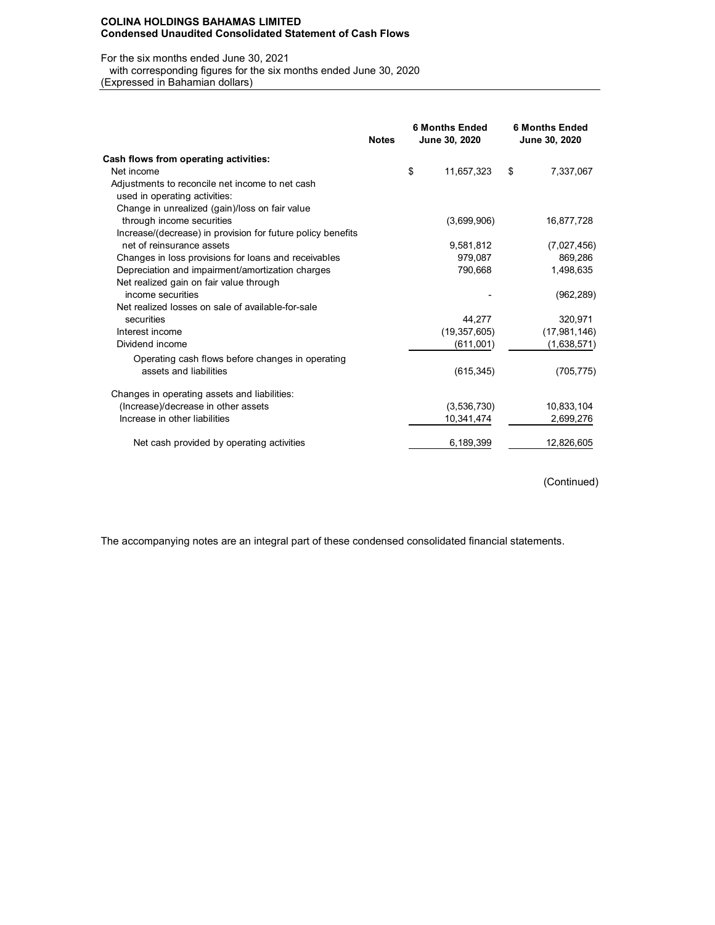#### **COLINA HOLDINGS BAHAMAS LIMITED Condensed Unaudited Consolidated Statement of Cash Flows**

#### For the six months ended June 30, 2021

with corresponding figures for the six months ended June 30, 2020

(Expressed in Bahamian dollars)

|                                                             | <b>Notes</b> | <b>6 Months Ended</b><br>June 30, 2020 |                | <b>6 Months Ended</b><br>June 30, 2020 |
|-------------------------------------------------------------|--------------|----------------------------------------|----------------|----------------------------------------|
| Cash flows from operating activities:                       |              |                                        |                |                                        |
| Net income                                                  |              | \$                                     | 11,657,323     | \$<br>7,337,067                        |
| Adjustments to reconcile net income to net cash             |              |                                        |                |                                        |
| used in operating activities:                               |              |                                        |                |                                        |
| Change in unrealized (gain)/loss on fair value              |              |                                        |                |                                        |
| through income securities                                   |              |                                        | (3,699,906)    | 16,877,728                             |
| Increase/(decrease) in provision for future policy benefits |              |                                        |                |                                        |
| net of reinsurance assets                                   |              |                                        | 9,581,812      | (7,027,456)                            |
| Changes in loss provisions for loans and receivables        |              |                                        | 979,087        | 869,286                                |
| Depreciation and impairment/amortization charges            |              |                                        | 790,668        | 1,498,635                              |
| Net realized gain on fair value through                     |              |                                        |                |                                        |
| income securities                                           |              |                                        |                | (962, 289)                             |
| Net realized losses on sale of available-for-sale           |              |                                        |                |                                        |
| securities                                                  |              |                                        | 44,277         | 320,971                                |
| Interest income                                             |              |                                        | (19, 357, 605) | (17, 981, 146)                         |
| Dividend income                                             |              |                                        | (611,001)      | (1,638,571)                            |
| Operating cash flows before changes in operating            |              |                                        |                |                                        |
| assets and liabilities                                      |              |                                        | (615, 345)     | (705, 775)                             |
| Changes in operating assets and liabilities:                |              |                                        |                |                                        |
| (Increase)/decrease in other assets                         |              |                                        | (3,536,730)    | 10,833,104                             |
| Increase in other liabilities                               |              |                                        | 10,341,474     | 2,699,276                              |
| Net cash provided by operating activities                   |              |                                        | 6,189,399      | 12,826,605                             |

(Continued)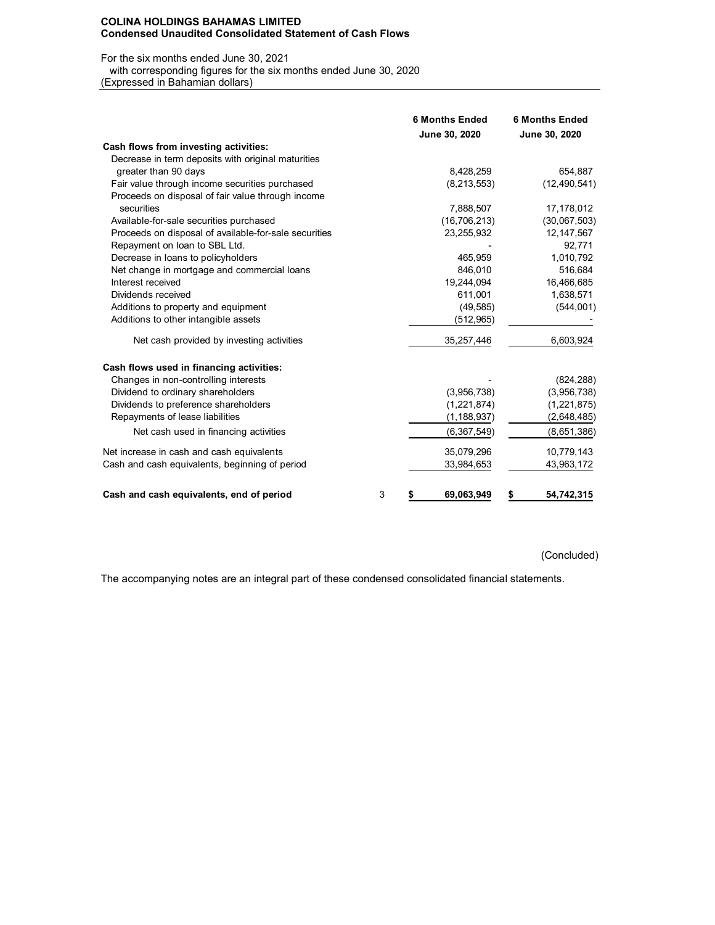#### **COLINA HOLDINGS BAHAMAS LIMITED Condensed Unaudited Consolidated Statement of Cash Flows**

#### For the six months ended June 30, 2021

with corresponding figures for the six months ended June 30, 2020

(Expressed in Bahamian dollars)

|                                                       | <b>6 Months Ended</b><br>June 30, 2020 | <b>6 Months Ended</b><br>June 30, 2020 |
|-------------------------------------------------------|----------------------------------------|----------------------------------------|
| Cash flows from investing activities:                 |                                        |                                        |
| Decrease in term deposits with original maturities    |                                        |                                        |
| greater than 90 days                                  | 8,428,259                              | 654,887                                |
| Fair value through income securities purchased        | (8, 213, 553)                          | (12, 490, 541)                         |
| Proceeds on disposal of fair value through income     |                                        |                                        |
| securities                                            | 7,888,507                              | 17,178,012                             |
| Available-for-sale securities purchased               | (16, 706, 213)                         | (30,067,503)                           |
| Proceeds on disposal of available-for-sale securities | 23,255,932                             | 12, 147, 567                           |
| Repayment on loan to SBL Ltd.                         |                                        | 92,771                                 |
| Decrease in loans to policyholders                    | 465,959                                | 1,010,792                              |
| Net change in mortgage and commercial loans           | 846.010                                | 516,684                                |
| Interest received                                     | 19,244,094                             | 16,466,685                             |
| Dividends received                                    | 611,001                                | 1,638,571                              |
| Additions to property and equipment                   | (49, 585)                              | (544,001)                              |
| Additions to other intangible assets                  | (512, 965)                             |                                        |
| Net cash provided by investing activities             | 35,257,446                             | 6,603,924                              |
| Cash flows used in financing activities:              |                                        |                                        |
| Changes in non-controlling interests                  |                                        | (824, 288)                             |
| Dividend to ordinary shareholders                     | (3,956,738)                            | (3,956,738)                            |
| Dividends to preference shareholders                  | (1,221,874)                            | (1,221,875)                            |
| Repayments of lease liabilities                       | (1, 188, 937)                          | (2,648,485)                            |
| Net cash used in financing activities                 | (6, 367, 549)                          | (8,651,386)                            |
| Net increase in cash and cash equivalents             | 35,079,296                             | 10,779,143                             |
| Cash and cash equivalents, beginning of period        | 33,984,653                             | 43,963,172                             |
| Cash and cash equivalents, end of period              | 3<br>69,063,949<br>\$                  | 54,742,315<br>\$                       |

(Concluded)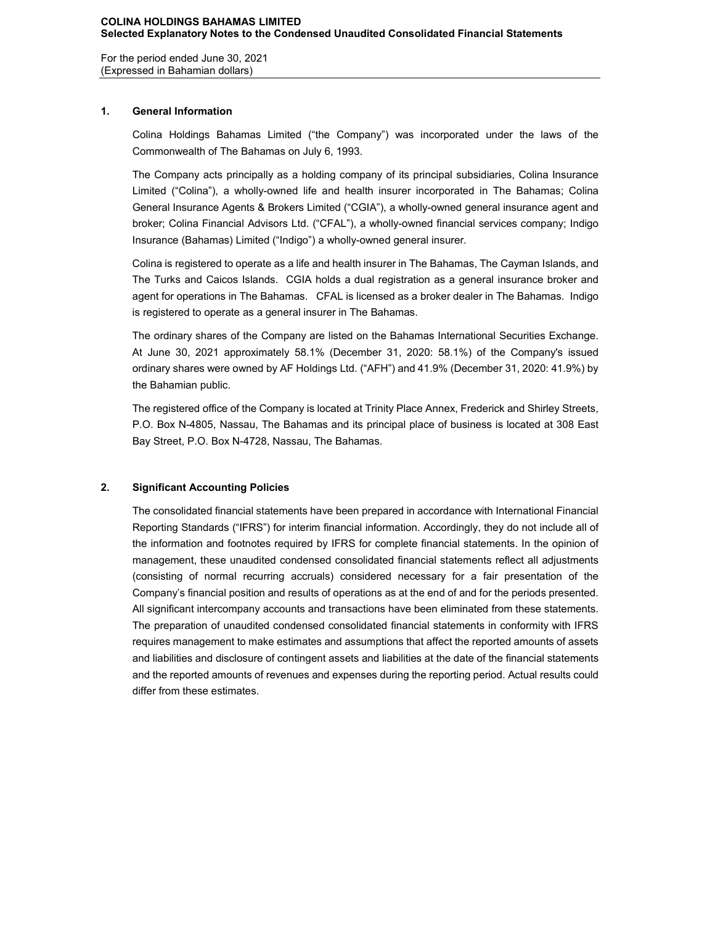For the period ended June 30, 2021 (Expressed in Bahamian dollars)

## **1. General Information**

Colina Holdings Bahamas Limited ("the Company") was incorporated under the laws of the Commonwealth of The Bahamas on July 6, 1993.

The Company acts principally as a holding company of its principal subsidiaries, Colina Insurance Limited ("Colina"), a wholly-owned life and health insurer incorporated in The Bahamas; Colina General Insurance Agents & Brokers Limited ("CGIA"), a wholly-owned general insurance agent and broker; Colina Financial Advisors Ltd. ("CFAL"), a wholly-owned financial services company; Indigo Insurance (Bahamas) Limited ("Indigo") a wholly-owned general insurer.

Colina is registered to operate as a life and health insurer in The Bahamas, The Cayman Islands, and The Turks and Caicos Islands. CGIA holds a dual registration as a general insurance broker and agent for operations in The Bahamas. CFAL is licensed as a broker dealer in The Bahamas. Indigo is registered to operate as a general insurer in The Bahamas.

The ordinary shares of the Company are listed on the Bahamas International Securities Exchange. At June 30, 2021 approximately 58.1% (December 31, 2020: 58.1%) of the Company's issued ordinary shares were owned by AF Holdings Ltd. ("AFH") and 41.9% (December 31, 2020: 41.9%) by the Bahamian public.

The registered office of the Company is located at Trinity Place Annex, Frederick and Shirley Streets, P.O. Box N-4805, Nassau, The Bahamas and its principal place of business is located at 308 East Bay Street, P.O. Box N-4728, Nassau, The Bahamas.

## **2. Significant Accounting Policies**

The consolidated financial statements have been prepared in accordance with International Financial Reporting Standards ("IFRS") for interim financial information. Accordingly, they do not include all of the information and footnotes required by IFRS for complete financial statements. In the opinion of management, these unaudited condensed consolidated financial statements reflect all adjustments (consisting of normal recurring accruals) considered necessary for a fair presentation of the Company's financial position and results of operations as at the end of and for the periods presented. All significant intercompany accounts and transactions have been eliminated from these statements. The preparation of unaudited condensed consolidated financial statements in conformity with IFRS requires management to make estimates and assumptions that affect the reported amounts of assets and liabilities and disclosure of contingent assets and liabilities at the date of the financial statements and the reported amounts of revenues and expenses during the reporting period. Actual results could differ from these estimates.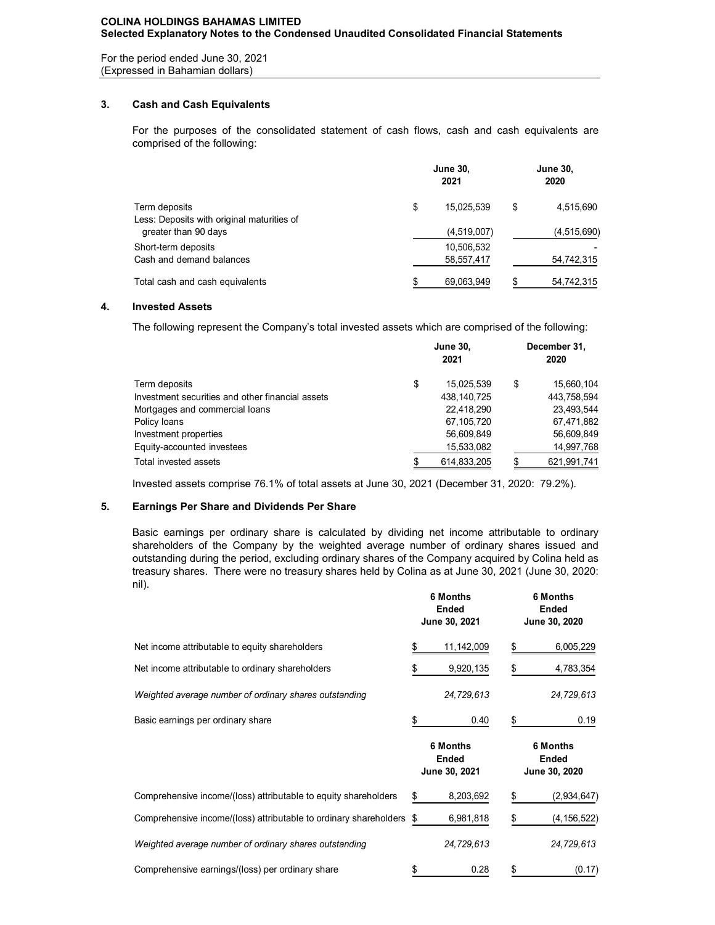For the period ended June 30, 2021 (Expressed in Bahamian dollars)

## **3. Cash and Cash Equivalents**

For the purposes of the consolidated statement of cash flows, cash and cash equivalents are comprised of the following:

| Term deposits                              |    | <b>June 30,</b><br>2020 |    |             |
|--------------------------------------------|----|-------------------------|----|-------------|
|                                            | \$ | 15.025.539              | \$ | 4,515,690   |
| Less: Deposits with original maturities of |    |                         |    |             |
| greater than 90 days                       |    | (4,519,007)             |    | (4,515,690) |
| Short-term deposits                        |    | 10,506,532              |    |             |
| Cash and demand balances                   |    | 58,557,417              |    | 54,742,315  |
| Total cash and cash equivalents            | S  | 69.063.949              |    | 54,742,315  |

## **4. Invested Assets**

The following represent the Company's total invested assets which are comprised of the following:

|                                                  | <b>June 30,</b><br>2021 | December 31,<br>2020 |             |  |
|--------------------------------------------------|-------------------------|----------------------|-------------|--|
| Term deposits                                    | \$<br>15,025,539        | \$                   | 15,660,104  |  |
| Investment securities and other financial assets | 438, 140, 725           |                      | 443,758,594 |  |
| Mortgages and commercial loans                   | 22,418,290              |                      | 23,493,544  |  |
| Policy loans                                     | 67,105,720              |                      | 67,471,882  |  |
| Investment properties                            | 56,609,849              |                      | 56,609,849  |  |
| Equity-accounted investees                       | 15,533,082              |                      | 14,997,768  |  |
| Total invested assets                            | 614,833,205             |                      | 621,991,741 |  |

Invested assets comprise 76.1% of total assets at June 30, 2021 (December 31, 2020: 79.2%).

## **5. Earnings Per Share and Dividends Per Share**

Basic earnings per ordinary share is calculated by dividing net income attributable to ordinary shareholders of the Company by the weighted average number of ordinary shares issued and outstanding during the period, excluding ordinary shares of the Company acquired by Colina held as treasury shares. There were no treasury shares held by Colina as at June 30, 2021 (June 30, 2020: nil).

|                                                                   | 6 Months<br>Ended<br>June 30, 2021               | 6 Months<br><b>Ended</b><br>June 30, 2020 |  |  |
|-------------------------------------------------------------------|--------------------------------------------------|-------------------------------------------|--|--|
| Net income attributable to equity shareholders                    | 11,142,009<br>\$                                 | 6,005,229<br>\$                           |  |  |
| Net income attributable to ordinary shareholders                  | 9,920,135                                        | 4,783,354<br>\$                           |  |  |
| Weighted average number of ordinary shares outstanding            | 24,729,613                                       | 24,729,613                                |  |  |
| Basic earnings per ordinary share                                 | 0.40                                             | \$<br>0.19                                |  |  |
|                                                                   |                                                  |                                           |  |  |
|                                                                   | <b>6 Months</b><br><b>Ended</b><br>June 30, 2021 | <b>6 Months</b><br>Ended<br>June 30, 2020 |  |  |
| Comprehensive income/(loss) attributable to equity shareholders   | 8,203,692<br>\$                                  | (2,934,647)<br>\$                         |  |  |
| Comprehensive income/(loss) attributable to ordinary shareholders | 6,981,818<br>\$                                  |                                           |  |  |
| Weighted average number of ordinary shares outstanding            | 24,729,613                                       | (4,156,522)<br>24,729,613                 |  |  |